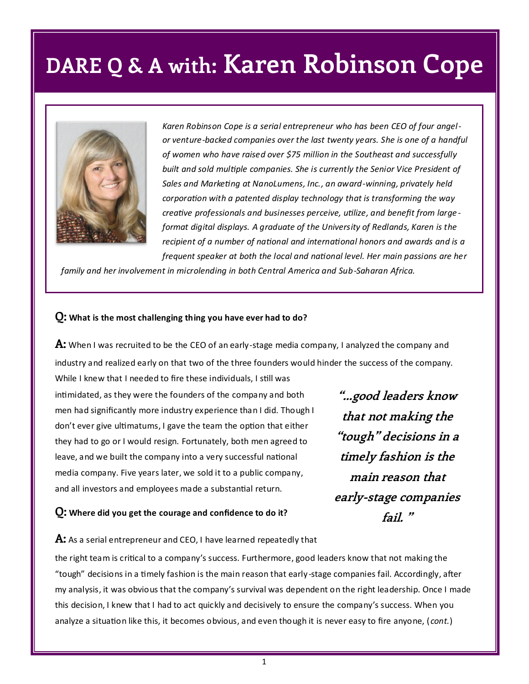## **DARE Q & A with: Karen Robinson Cope**



*Karen Robinson Cope is a serial entrepreneur who has been CEO of four angelor venture-backed companies over the last twenty years. She is one of a handful of women who have raised over \$75 million in the Southeast and successfully built and sold multiple companies. She is currently the Senior Vice President of Sales and Marketing at NanoLumens, Inc., an award-winning, privately held corporation with a patented display technology that is transforming the way creative professionals and businesses perceive, utilize, and benefit from large format digital displays. A graduate of the University of Redlands, Karen is the recipient of a number of national and international honors and awards and is a frequent speaker at both the local and national level. Her main passions are her* 

*family and her involvement in microlending in both Central America and Sub-Saharan Africa.* 

#### **Q: What is the most challenging thing you have ever had to do?**

**A:** When I was recruited to be the CEO of an early-stage media company, I analyzed the company and industry and realized early on that two of the three founders would hinder the success of the company.

While I knew that I needed to fire these individuals, I still was intimidated, as they were the founders of the company and both men had significantly more industry experience than I did. Though I don't ever give ultimatums, I gave the team the option that either they had to go or I would resign. Fortunately, both men agreed to leave, and we built the company into a very successful national media company. Five years later, we sold it to a public company, and all investors and employees made a substantial return.

#### **Q: Where did you get the courage and confidence to do it?**

**"...good leaders know that not making the "tough" decisions in a timely fashion is the main reason that early-stage companies fail. "**

**A:** As a serial entrepreneur and CEO, I have learned repeatedly that

the right team is critical to a company's success. Furthermore, good leaders know that not making the "tough" decisions in a timely fashion is the main reason that early-stage companies fail. Accordingly, after my analysis, it was obvious that the company's survival was dependent on the right leadership. Once I made this decision, I knew that I had to act quickly and decisively to ensure the company's success. When you analyze a situation like this, it becomes obvious, and even though it is never easy to fire anyone, ( *cont.*)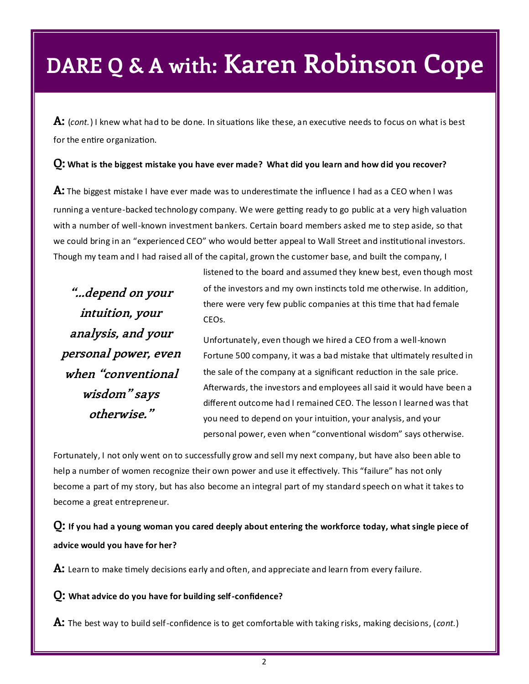### **DARE Q & A with: Karen Robinson Cope**

**A:** (*cont.*) I knew what had to be done. In situations like these, an executive needs to focus on what is best for the entire organization.

#### **Q: What is the biggest mistake you have ever made? What did you learn and how did you recover?**

**A:** The biggest mistake I have ever made was to underestimate the influence I had as a CEO when I was running a venture-backed technology company. We were getting ready to go public at a very high valuation with a number of well-known investment bankers. Certain board members asked me to step aside, so that we could bring in an "experienced CEO" who would better appeal to Wall Street and institutional investors. Though my team and I had raised all of the capital, grown the customer base, and built the company, I

**"...depend on your intuition, your analysis, and your personal power, even when "conventional wisdom" says otherwise."**

listened to the board and assumed they knew best, even though most of the investors and my own instincts told me otherwise. In addition, there were very few public companies at this time that had female CEOs.

Unfortunately, even though we hired a CEO from a well-known Fortune 500 company, it was a bad mistake that ultimately resulted in the sale of the company at a significant reduction in the sale price. Afterwards, the investors and employees all said it would have been a different outcome had I remained CEO. The lesson I learned was that you need to depend on your intuition, your analysis, and your personal power, even when "conventional wisdom" says otherwise.

Fortunately, I not only went on to successfully grow and sell my next company, but have also been able to help a number of women recognize their own power and use it effectively. This "failure" has not only become a part of my story, but has also become an integral part of my standard speech on what it takes to become a great entrepreneur.

**Q: If you had a young woman you cared deeply about entering the workforce today, what single piece of advice would you have for her?**

**A:** Learn to make timely decisions early and often, and appreciate and learn from every failure.

**Q: What advice do you have for building self-confidence?**

**A:** The best way to build self-confidence is to get comfortable with taking risks, making decisions, (*cont.*)